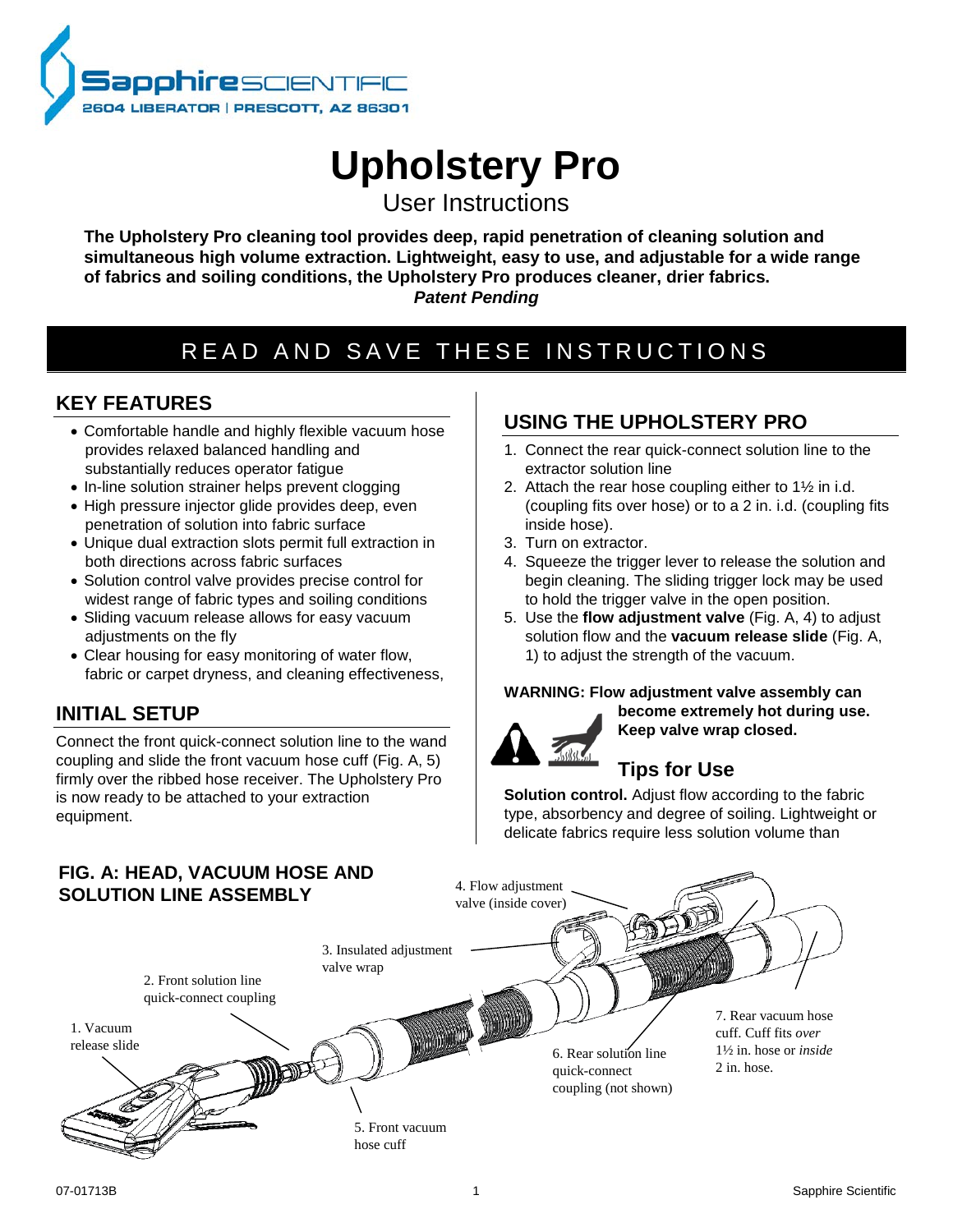

# **Upholstery Pro**

User Instructions

**The Upholstery Pro cleaning tool provides deep, rapid penetration of cleaning solution and simultaneous high volume extraction. Lightweight, easy to use, and adjustable for a wide range of fabrics and soiling conditions, the Upholstery Pro produces cleaner, drier fabrics.** *Patent Pending*

## READ AND SAVE THESE INSTRUCTIONS

## **KEY FEATURES**

- Comfortable handle and highly flexible vacuum hose provides relaxed balanced handling and substantially reduces operator fatigue
- In-line solution strainer helps prevent clogging
- High pressure injector glide provides deep, even penetration of solution into fabric surface
- Unique dual extraction slots permit full extraction in both directions across fabric surfaces
- Solution control valve provides precise control for widest range of fabric types and soiling conditions
- Sliding vacuum release allows for easy vacuum adjustments on the fly
- Clear housing for easy monitoring of water flow, fabric or carpet dryness, and cleaning effectiveness,

## **INITIAL SETUP**

Connect the front quick-connect solution line to the wand coupling and slide the front vacuum hose cuff (Fig. A, 5) firmly over the ribbed hose receiver. The Upholstery Pro is now ready to be attached to your extraction equipment.

## **USING THE UPHOLSTERY PRO**

- 1. Connect the rear quick-connect solution line to the extractor solution line
- 2. Attach the rear hose coupling either to 1½ in i.d. (coupling fits over hose) or to a 2 in. i.d. (coupling fits inside hose).
- 3. Turn on extractor.
- 4. Squeeze the trigger lever to release the solution and begin cleaning. The sliding trigger lock may be used to hold the trigger valve in the open position.
- 5. Use the **flow adjustment valve** (Fig. A, 4) to adjust solution flow and the **vacuum release slide** (Fig. A, 1) to adjust the strength of the vacuum.

#### **WARNING: Flow adjustment valve assembly can become extremely hot during use.**



**Keep valve wrap closed.** 

## **Tips for Use**

**Solution control.** Adjust flow according to the fabric type, absorbency and degree of soiling. Lightweight or delicate fabrics require less solution volume than

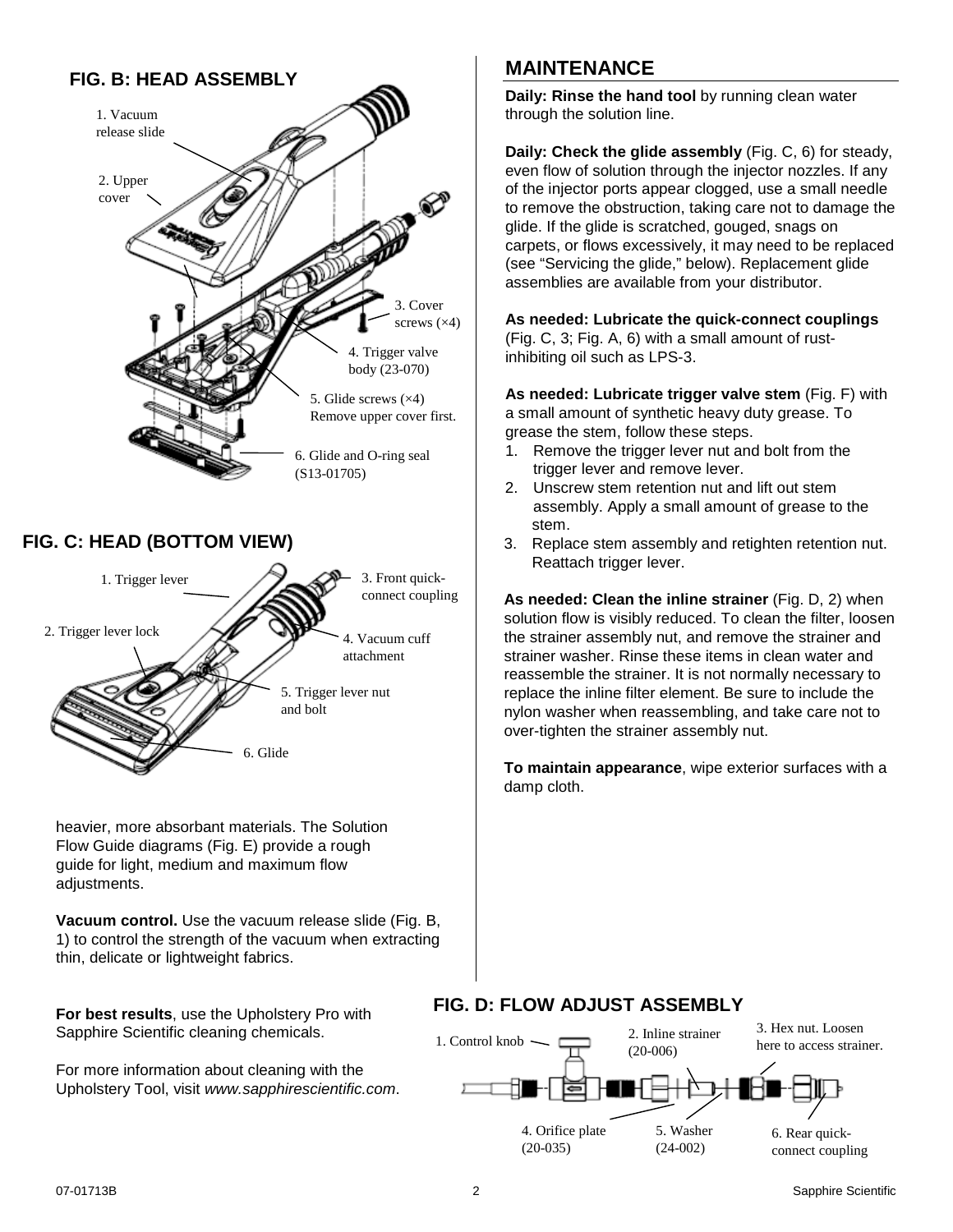## **FIG. B: HEAD ASSEMBLY**



### **FIG. C: HEAD (BOTTOM VIEW)**



heavier, more absorbant materials. The Solution Flow Guide diagrams (Fig. E) provide a rough guide for light, medium and maximum flow adjustments.

**Vacuum control.** Use the vacuum release slide (Fig. B, 1) to control the strength of the vacuum when extracting thin, delicate or lightweight fabrics.

**For best results**, use the Upholstery Pro with Sapphire Scientific cleaning chemicals.

For more information about cleaning with the Upholstery Tool, visit *www.sapphirescientific.com*.

## **MAINTENANCE**

**Daily: Rinse the hand tool** by running clean water through the solution line.

<span id="page-1-0"></span>**Daily: Check the glide assembly** (Fig. C, 6) for steady, even flow of solution through the injector nozzles. If any of the injector ports appear clogged, use a small needle to remove the obstruction, taking care not to damage the glide. If the glide is scratched, gouged, snags on carpets, or flows excessively, it may need to be replaced (see "Servicing the glide," below). Replacement glide assemblies are available from your distributor.

#### **As needed: Lubricate the quick-connect couplings**

(Fig. C, 3; Fig. A, 6) with a small amount of rustinhibiting oil such as LPS-3.

**As needed: Lubricate trigger valve stem** (Fig. F) with a small amount of synthetic heavy duty grease. To grease the stem, follow these steps.

- 1. Remove the trigger lever nut and bolt from the trigger lever and remove lever.
- 2. Unscrew stem retention nut and lift out stem assembly. Apply a small amount of grease to the stem.
- 3. Replace stem assembly and retighten retention nut. Reattach trigger lever.

**As needed: Clean the inline strainer** (Fig. D, 2) when solution flow is visibly reduced. To clean the filter, loosen the strainer assembly nut, and remove the strainer and strainer washer. Rinse these items in clean water and reassemble the strainer. It is not normally necessary to replace the inline filter element. Be sure to include the nylon washer when reassembling, and take care not to over-tighten the strainer assembly nut.

**To maintain appearance**, wipe exterior surfaces with a damp cloth.

### **FIG. D: FLOW ADJUST ASSEMBLY**

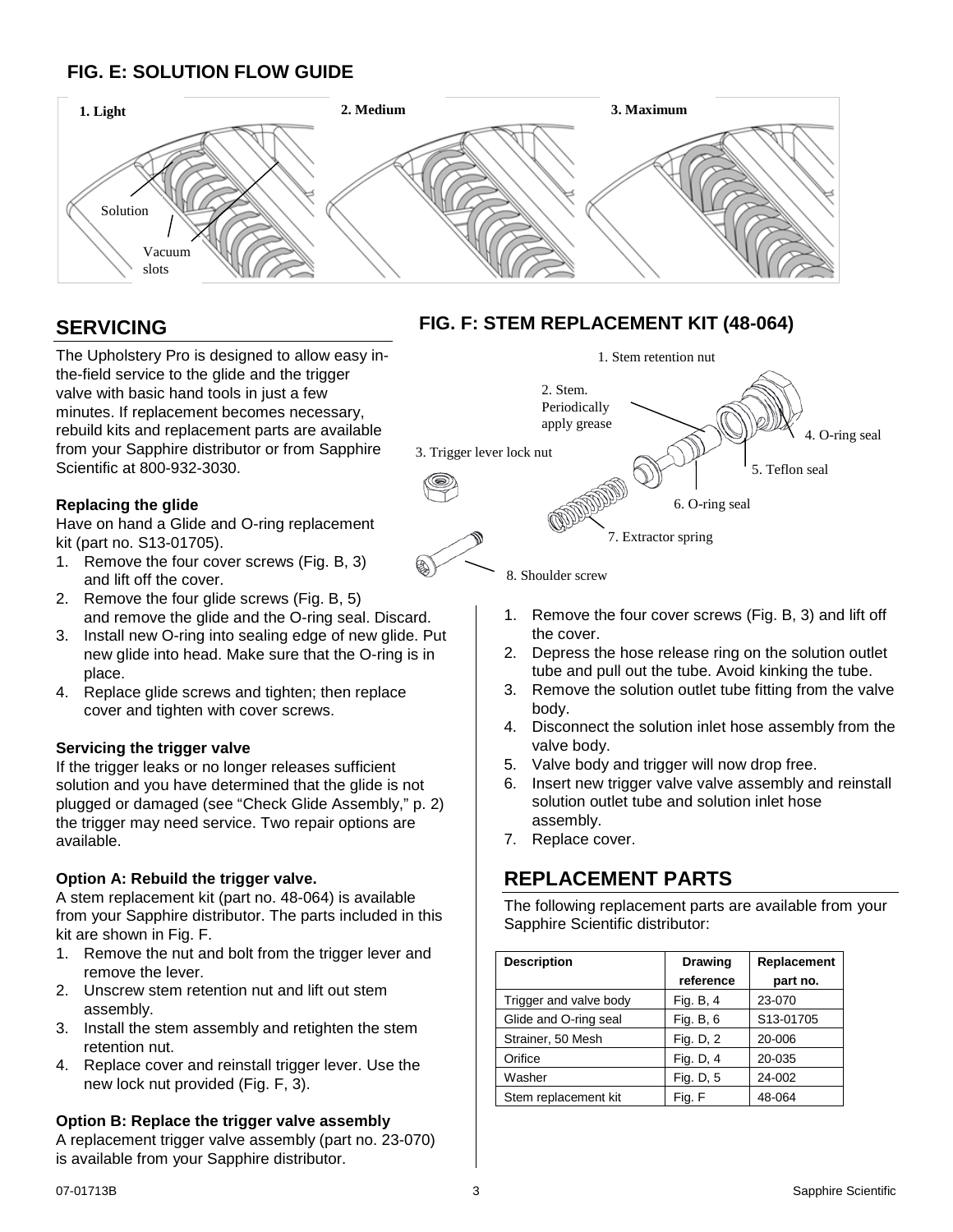## **FIG. E: SOLUTION FLOW GUIDE**



## **SERVICING**

The Upholstery Pro is designed to allow easy inthe-field service to the glide and the trigger valve with basic hand tools in just a few minutes. If replacement becomes necessary, rebuild kits and replacement parts are available from your Sapphire distributor or from Sapphire Scientific at 800-932-3030.

#### **Replacing the glide**

Have on hand a Glide and O-ring replacement kit (part no. S13-01705).

- 1. Remove the four cover screws (Fig. B, 3) and lift off the cover.
- 2. Remove the four glide screws (Fig. B, 5) and remove the glide and the O-ring seal. Discard.
- 3. Install new O-ring into sealing edge of new glide. Put new glide into head. Make sure that the O-ring is in place.
- 4. Replace glide screws and tighten; then replace cover and tighten with cover screws.

#### **Servicing the trigger valve**

If the trigger leaks or no longer releases sufficient solution and you have determined that the glide is not plugged or damaged (see "Check Glide Assembly," p. [2\)](#page-1-0) the trigger may need service. Two repair options are available.

#### **Option A: Rebuild the trigger valve.**

A stem replacement kit (part no. 48-064) is available from your Sapphire distributor. The parts included in this kit are shown in Fig. F.

- 1. Remove the nut and bolt from the trigger lever and remove the lever.
- 2. Unscrew stem retention nut and lift out stem assembly.
- 3. Install the stem assembly and retighten the stem retention nut.
- 4. Replace cover and reinstall trigger lever. Use the new lock nut provided (Fig. F, 3).

### **Option B: Replace the trigger valve assembly**

A replacement trigger valve assembly (part no. 23-070) is available from your Sapphire distributor.

## **FIG. F: STEM REPLACEMENT KIT (48-064)**



8. Shoulder screw

- 1. Remove the four cover screws (Fig. B, 3) and lift off the cover.
- 2. Depress the hose release ring on the solution outlet tube and pull out the tube. Avoid kinking the tube.
- 3. Remove the solution outlet tube fitting from the valve body.
- 4. Disconnect the solution inlet hose assembly from the valve body.
- 5. Valve body and trigger will now drop free.
- 6. Insert new trigger valve valve assembly and reinstall solution outlet tube and solution inlet hose assembly.
- 7. Replace cover.

## **REPLACEMENT PARTS**

The following replacement parts are available from your Sapphire Scientific distributor:

| <b>Description</b>     | <b>Drawing</b> | Replacement |
|------------------------|----------------|-------------|
|                        | reference      | part no.    |
| Trigger and valve body | Fig. B, 4      | 23-070      |
| Glide and O-ring seal  | Fig. B, 6      | S13-01705   |
| Strainer, 50 Mesh      | Fig. D, 2      | 20-006      |
| Orifice                | Fig. D, 4      | 20-035      |
| Washer                 | Fig. D, 5      | 24-002      |
| Stem replacement kit   | Fig. F         | 48-064      |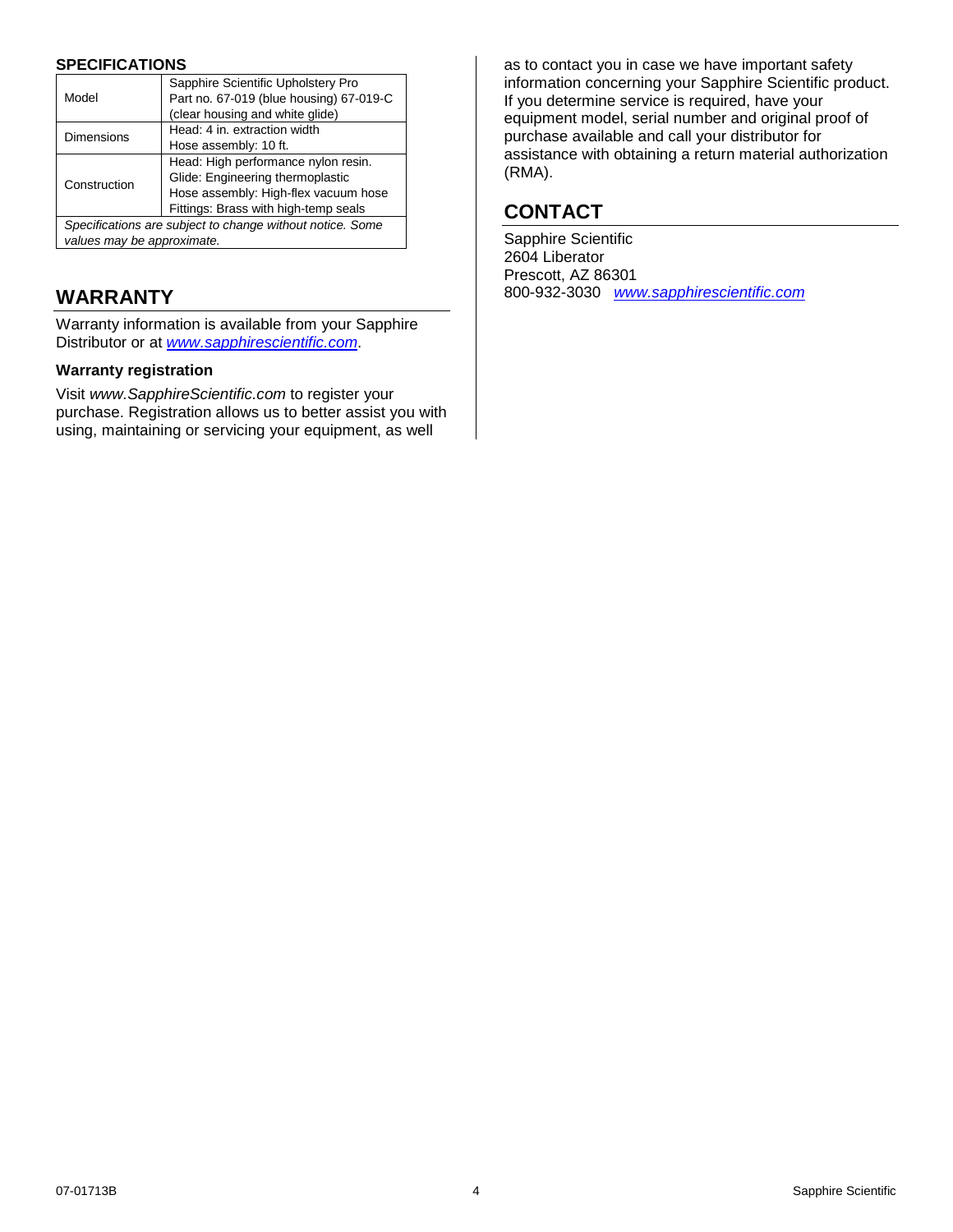#### **SPECIFICATIONS**

|                                                           | Sapphire Scientific Upholstery Pro      |
|-----------------------------------------------------------|-----------------------------------------|
| Model                                                     | Part no. 67-019 (blue housing) 67-019-C |
|                                                           | (clear housing and white glide)         |
| <b>Dimensions</b>                                         | Head: 4 in. extraction width            |
|                                                           | Hose assembly: 10 ft.                   |
| Construction                                              | Head: High performance nylon resin.     |
|                                                           | Glide: Engineering thermoplastic        |
|                                                           | Hose assembly: High-flex vacuum hose    |
|                                                           | Fittings: Brass with high-temp seals    |
| Specifications are subject to change without notice. Some |                                         |
| values may be approximate.                                |                                         |

## **WARRANTY**

Warranty information is available from your Sapphire Distributor or at *[www.sapphirescientific.com](http://www.sapphirescientific.com/)*.

#### **Warranty registration**

Visit *www.SapphireScientific.com* to register your purchase. Registration allows us to better assist you with using, maintaining or servicing your equipment, as well

as to contact you in case we have important safety information concerning your Sapphire Scientific product. If you determine service is required, have your equipment model, serial number and original proof of purchase available and call your distributor for assistance with obtaining a return material authorization (RMA).

## **CONTACT**

Sapphire Scientific 2604 Liberator Prescott, AZ 86301 800-932-3030 *[www.sapphirescientific.com](http://www.sapphirescientific.com/)*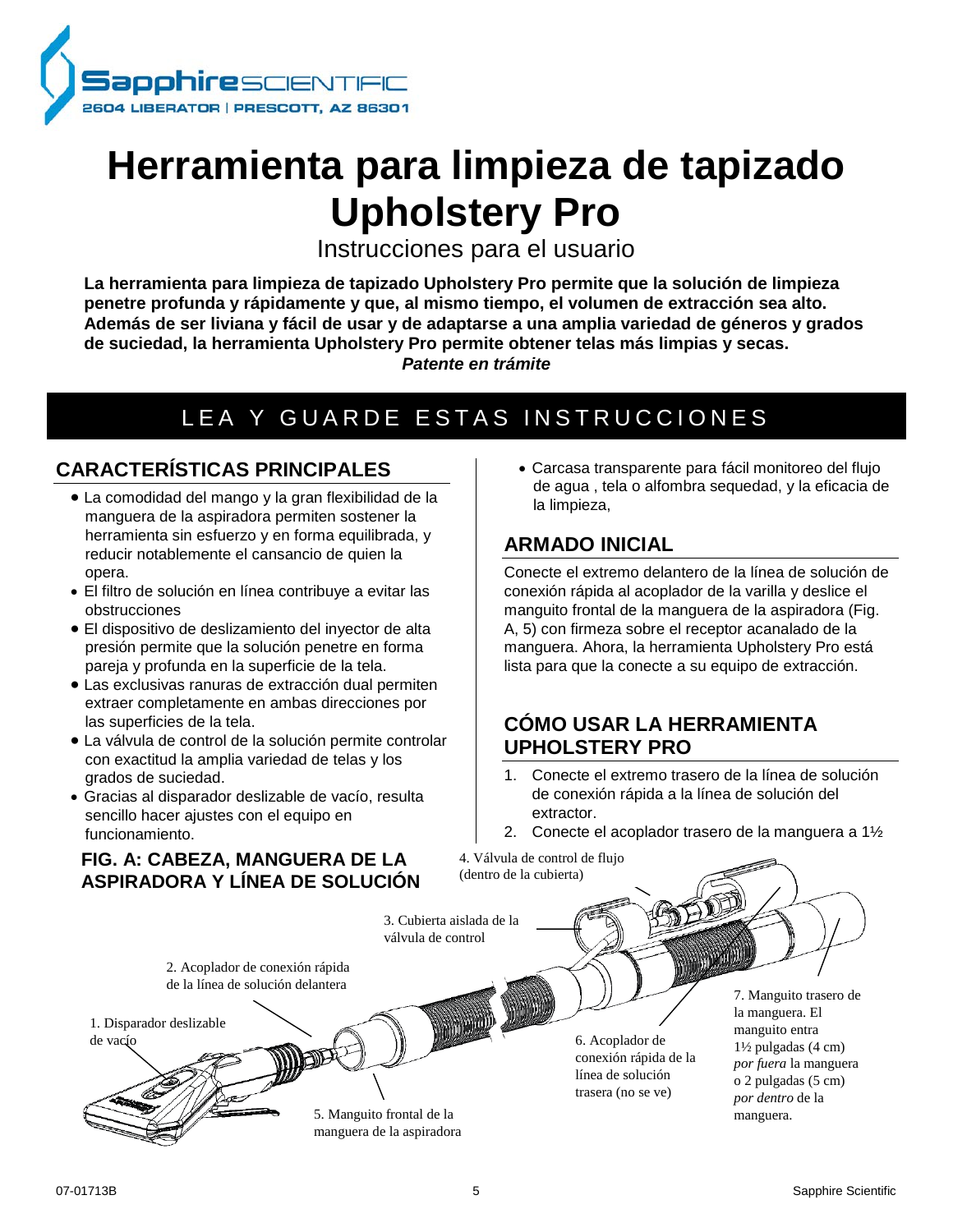

## **Herramienta para limpieza de tapizado Upholstery Pro**

Instrucciones para el usuario

**La herramienta para limpieza de tapizado Upholstery Pro permite que la solución de limpieza penetre profunda y rápidamente y que, al mismo tiempo, el volumen de extracción sea alto. Además de ser liviana y fácil de usar y de adaptarse a una amplia variedad de géneros y grados de suciedad, la herramienta Upholstery Pro permite obtener telas más limpias y secas.**  *Patente en trámite*

## LEA Y GUARDE ESTAS INSTRUCCIONES

## **CARACTERÍSTICAS PRINCIPALES**

- La comodidad del mango y la gran flexibilidad de la manguera de la aspiradora permiten sostener la herramienta sin esfuerzo y en forma equilibrada, y reducir notablemente el cansancio de quien la opera.
- El filtro de solución en línea contribuye a evitar las obstrucciones
- El dispositivo de deslizamiento del inyector de alta presión permite que la solución penetre en forma pareja y profunda en la superficie de la tela.
- Las exclusivas ranuras de extracción dual permiten extraer completamente en ambas direcciones por las superficies de la tela.
- La válvula de control de la solución permite controlar con exactitud la amplia variedad de telas y los grados de suciedad.
- Gracias al disparador deslizable de vacío, resulta sencillo hacer ajustes con el equipo en funcionamiento.

## **FIG. A: CABEZA, MANGUERA DE LA ASPIRADORA Y LÍNEA DE SOLUCIÓN**

• Carcasa transparente para fácil monitoreo del flujo de agua , tela o alfombra sequedad, y la eficacia de la limpieza,

## **ARMADO INICIAL**

Conecte el extremo delantero de la línea de solución de conexión rápida al acoplador de la varilla y deslice el manguito frontal de la manguera de la aspiradora (Fig. A, 5) con firmeza sobre el receptor acanalado de la manguera. Ahora, la herramienta Upholstery Pro está lista para que la conecte a su equipo de extracción.

## **CÓMO USAR LA HERRAMIENTA UPHOLSTERY PRO**

- 1. Conecte el extremo trasero de la línea de solución de conexión rápida a la línea de solución del extractor.
- 2. Conecte el acoplador trasero de la manguera a 1½

4. Válvula de control de flujo (dentro de la cubierta)

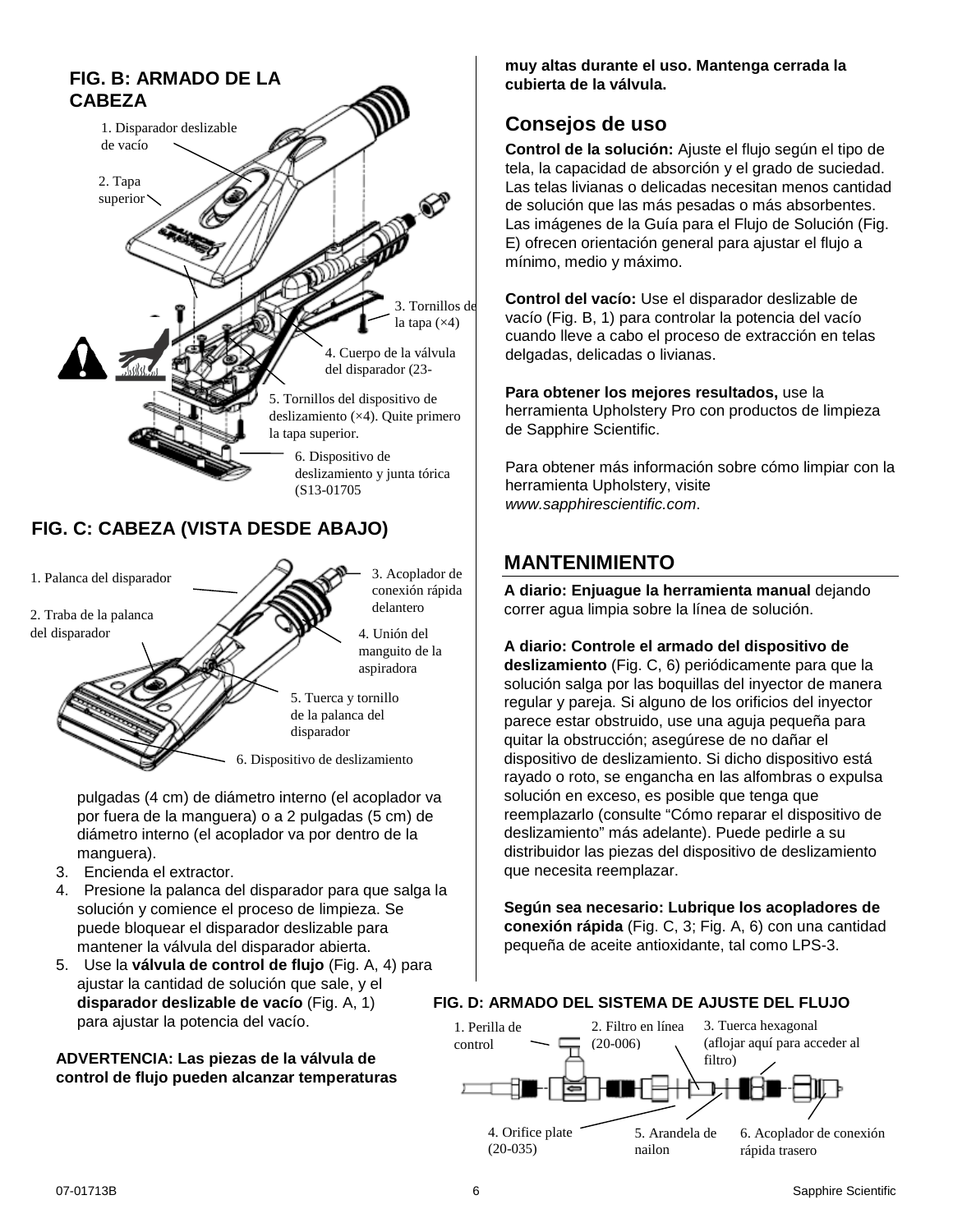

4. Unión del manguito de la aspiradora

5. Tuerca y tornillo de la palanca del disparador

6. Dispositivo de deslizamiento

pulgadas (4 cm) de diámetro interno (el acoplador va por fuera de la manguera) o a 2 pulgadas (5 cm) de diámetro interno (el acoplador va por dentro de la manguera).

- 3. Encienda el extractor.
- 4. Presione la palanca del disparador para que salga la solución y comience el proceso de limpieza. Se puede bloquear el disparador deslizable para mantener la válvula del disparador abierta.
- 5. Use la **válvula de control de flujo** (Fig. A, 4) para ajustar la cantidad de solución que sale, y el **disparador deslizable de vacío** (Fig. A, 1) para ajustar la potencia del vacío.

#### **ADVERTENCIA: Las piezas de la válvula de control de flujo pueden alcanzar temperaturas**

**muy altas durante el uso. Mantenga cerrada la cubierta de la válvula.** 

## **Consejos de uso**

**Control de la solución:** Ajuste el flujo según el tipo de tela, la capacidad de absorción y el grado de suciedad. Las telas livianas o delicadas necesitan menos cantidad de solución que las más pesadas o más absorbentes. Las imágenes de la Guía para el Flujo de Solución (Fig. E) ofrecen orientación general para ajustar el flujo a mínimo, medio y máximo.

**Control del vacío:** Use el disparador deslizable de vacío (Fig. B, 1) para controlar la potencia del vacío cuando lleve a cabo el proceso de extracción en telas delgadas, delicadas o livianas.

**Para obtener los mejores resultados,** use la herramienta Upholstery Pro con productos de limpieza de Sapphire Scientific.

Para obtener más información sobre cómo limpiar con la herramienta Upholstery, visite *www.sapphirescientific.com*.

## **MANTENIMIENTO**

**A diario: Enjuague la herramienta manual** dejando correr agua limpia sobre la línea de solución.

<span id="page-5-0"></span>**A diario: Controle el armado del dispositivo de deslizamiento** (Fig. C, 6) periódicamente para que la solución salga por las boquillas del inyector de manera regular y pareja. Si alguno de los orificios del inyector parece estar obstruido, use una aguja pequeña para quitar la obstrucción; asegúrese de no dañar el dispositivo de deslizamiento. Si dicho dispositivo está rayado o roto, se engancha en las alfombras o expulsa solución en exceso, es posible que tenga que reemplazarlo (consulte "Cómo reparar el dispositivo de deslizamiento" más adelante). Puede pedirle a su distribuidor las piezas del dispositivo de deslizamiento que necesita reemplazar.

**Según sea necesario: Lubrique los acopladores de conexión rápida** (Fig. C, 3; Fig. A, 6) con una cantidad pequeña de aceite antioxidante, tal como LPS-3.

#### **FIG. D: ARMADO DEL SISTEMA DE AJUSTE DEL FLUJO**

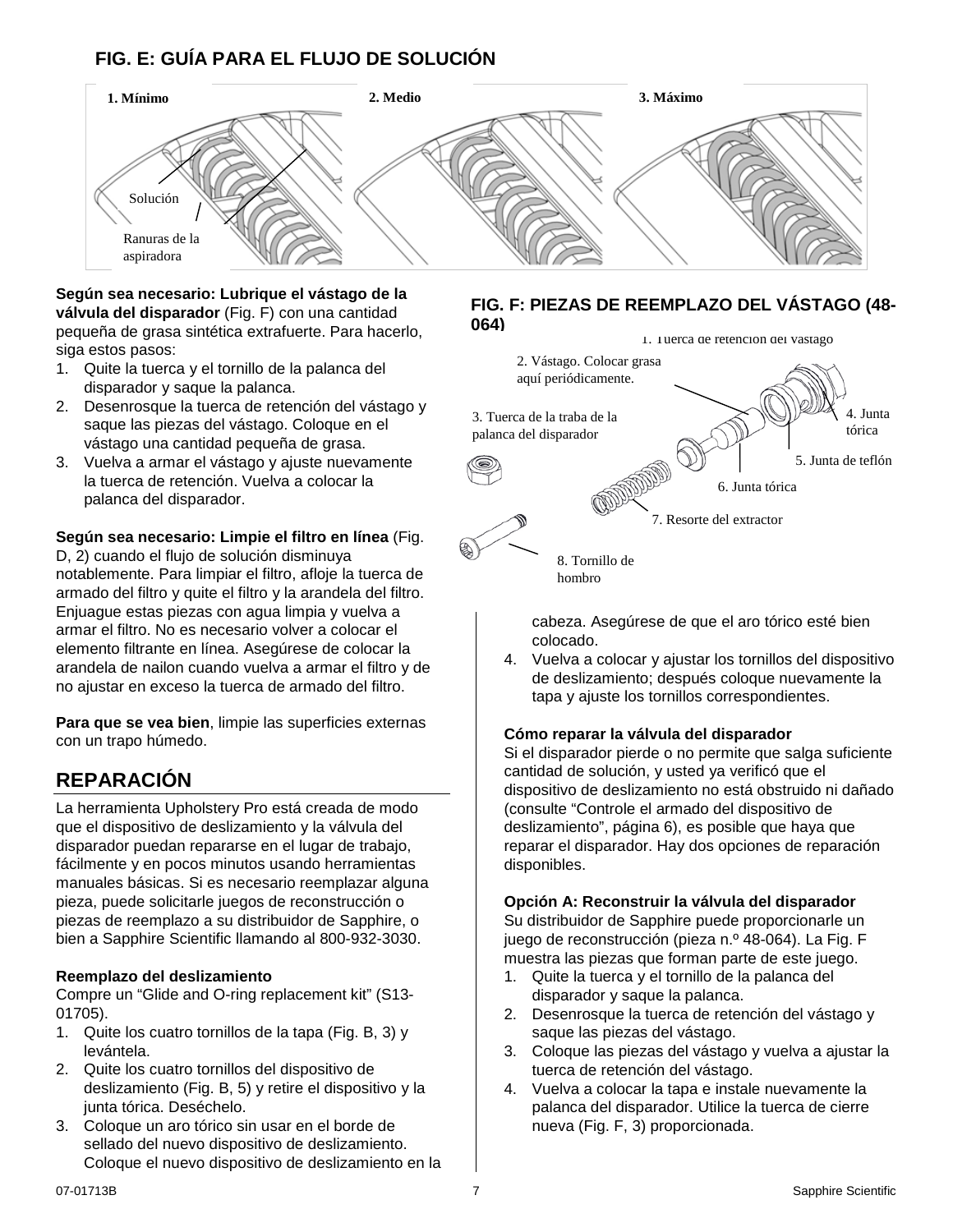## **FIG. E: GUÍA PARA EL FLUJO DE SOLUCIÓN**



**Según sea necesario: Lubrique el vástago de la válvula del disparador** (Fig. F) con una cantidad pequeña de grasa sintética extrafuerte. Para hacerlo, siga estos pasos:

- 1. Quite la tuerca y el tornillo de la palanca del disparador y saque la palanca.
- 2. Desenrosque la tuerca de retención del vástago y saque las piezas del vástago. Coloque en el vástago una cantidad pequeña de grasa.
- 3. Vuelva a armar el vástago y ajuste nuevamente la tuerca de retención. Vuelva a colocar la palanca del disparador.

**Según sea necesario: Limpie el filtro en línea** (Fig. D, 2) cuando el flujo de solución disminuya notablemente. Para limpiar el filtro, afloje la tuerca de armado del filtro y quite el filtro y la arandela del filtro. Enjuague estas piezas con agua limpia y vuelva a armar el filtro. No es necesario volver a colocar el elemento filtrante en línea. Asegúrese de colocar la arandela de nailon cuando vuelva a armar el filtro y de no ajustar en exceso la tuerca de armado del filtro.

**Para que se vea bien**, limpie las superficies externas con un trapo húmedo.

## **REPARACIÓN**

La herramienta Upholstery Pro está creada de modo que el dispositivo de deslizamiento y la válvula del disparador puedan repararse en el lugar de trabajo, fácilmente y en pocos minutos usando herramientas manuales básicas. Si es necesario reemplazar alguna pieza, puede solicitarle juegos de reconstrucción o piezas de reemplazo a su distribuidor de Sapphire, o bien a Sapphire Scientific llamando al 800-932-3030.

#### **Reemplazo del deslizamiento**

Compre un "Glide and O-ring replacement kit" (S13- 01705).

- 1. Quite los cuatro tornillos de la tapa (Fig. B, 3) y levántela.
- 2. Quite los cuatro tornillos del dispositivo de deslizamiento (Fig. B, 5) y retire el dispositivo y la junta tórica. Deséchelo.
- 3. Coloque un aro tórico sin usar en el borde de sellado del nuevo dispositivo de deslizamiento. Coloque el nuevo dispositivo de deslizamiento en la

#### **FIG. F: PIEZAS DE REEMPLAZO DEL VÁSTAGO (48- 064)**



hombro

cabeza. Asegúrese de que el aro tórico esté bien colocado.

4. Vuelva a colocar y ajustar los tornillos del dispositivo de deslizamiento; después coloque nuevamente la tapa y ajuste los tornillos correspondientes.

#### **Cómo reparar la válvula del disparador**

Si el disparador pierde o no permite que salga suficiente cantidad de solución, y usted ya verificó que el dispositivo de deslizamiento no está obstruido ni dañado (consulte "Controle el armado del dispositivo de deslizamiento", página [6\)](#page-5-0), es posible que haya que reparar el disparador. Hay dos opciones de reparación disponibles.

#### **Opción A: Reconstruir la válvula del disparador**

Su distribuidor de Sapphire puede proporcionarle un juego de reconstrucción (pieza n.º 48-064). La Fig. F muestra las piezas que forman parte de este juego.

- 1. Quite la tuerca y el tornillo de la palanca del disparador y saque la palanca.
- 2. Desenrosque la tuerca de retención del vástago y saque las piezas del vástago.
- 3. Coloque las piezas del vástago y vuelva a ajustar la tuerca de retención del vástago.
- 4. Vuelva a colocar la tapa e instale nuevamente la palanca del disparador. Utilice la tuerca de cierre nueva (Fig. F, 3) proporcionada.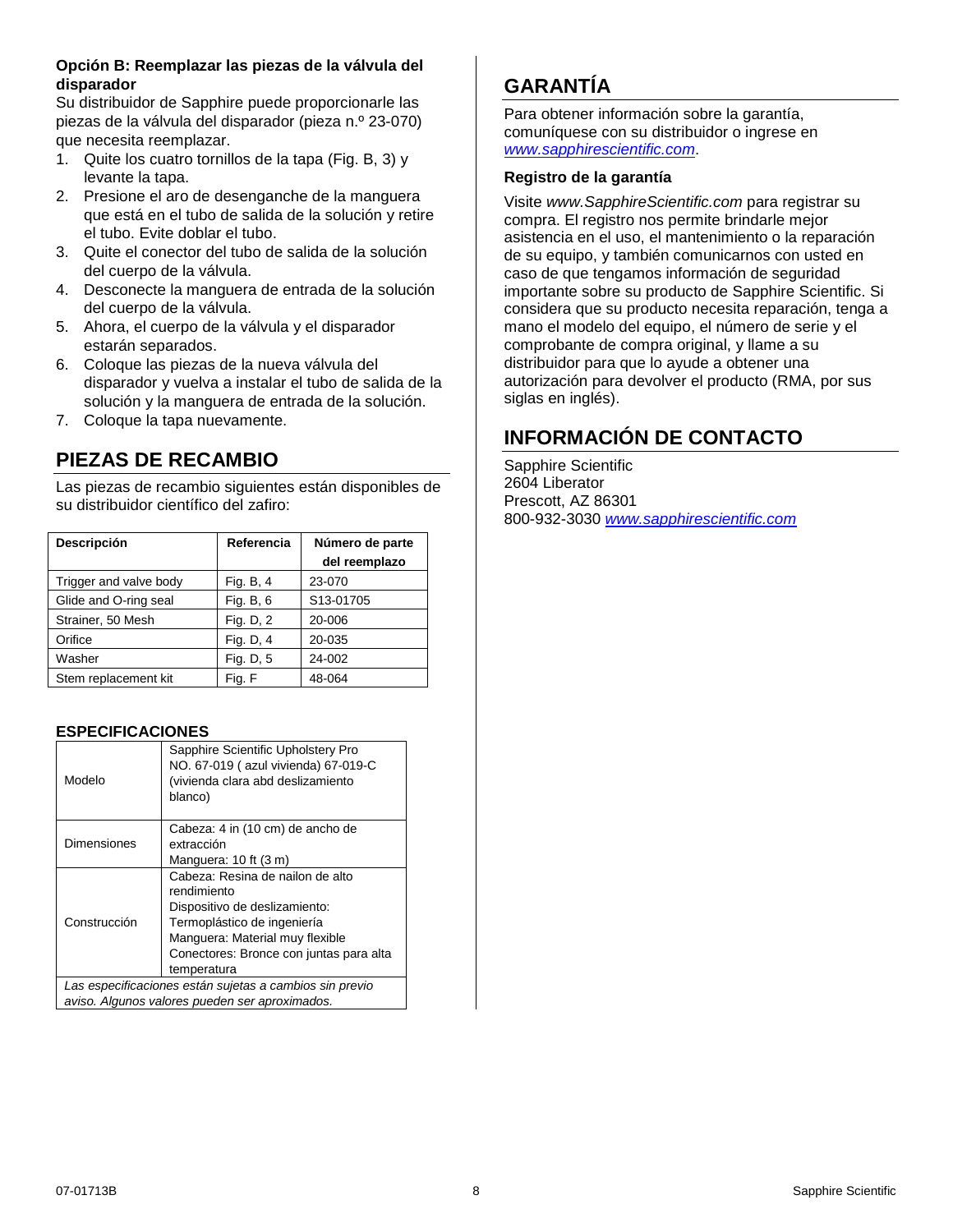#### **Opción B: Reemplazar las piezas de la válvula del disparador**

Su distribuidor de Sapphire puede proporcionarle las piezas de la válvula del disparador (pieza n.º 23-070) que necesita reemplazar.

- 1. Quite los cuatro tornillos de la tapa (Fig. B, 3) y levante la tapa.
- 2. Presione el aro de desenganche de la manguera que está en el tubo de salida de la solución y retire el tubo. Evite doblar el tubo.
- 3. Quite el conector del tubo de salida de la solución del cuerpo de la válvula.
- 4. Desconecte la manguera de entrada de la solución del cuerpo de la válvula.
- 5. Ahora, el cuerpo de la válvula y el disparador estarán separados.
- 6. Coloque las piezas de la nueva válvula del disparador y vuelva a instalar el tubo de salida de la solución y la manguera de entrada de la solución.
- 7. Coloque la tapa nuevamente.

## **PIEZAS DE RECAMBIO**

Las piezas de recambio siguientes están disponibles de su distribuidor científico del zafiro:

| Descripción            | Referencia | Número de parte |
|------------------------|------------|-----------------|
|                        |            | del reemplazo   |
| Trigger and valve body | Fig. B, 4  | 23-070          |
| Glide and O-ring seal  | Fig. B, 6  | S13-01705       |
| Strainer, 50 Mesh      | Fig. D, 2  | 20-006          |
| Orifice                | Fig. D, 4  | 20-035          |
| Washer                 | Fig. D, 5  | 24-002          |
| Stem replacement kit   | Fig. F     | 48-064          |

#### **ESPECIFICACIONES**

| Modelo                                                  | Sapphire Scientific Upholstery Pro<br>NO. 67-019 (azul vivienda) 67-019-C<br>(vivienda clara abd deslizamiento<br>blanco) |
|---------------------------------------------------------|---------------------------------------------------------------------------------------------------------------------------|
| Dimensiones                                             | Cabeza: 4 in (10 cm) de ancho de                                                                                          |
|                                                         | extracción                                                                                                                |
|                                                         | Manguera: 10 ft (3 m)                                                                                                     |
| Construcción                                            | Cabeza: Resina de nailon de alto                                                                                          |
|                                                         | rendimiento                                                                                                               |
|                                                         | Dispositivo de deslizamiento:                                                                                             |
|                                                         | Termoplástico de ingeniería                                                                                               |
|                                                         | Manguera: Material muy flexible                                                                                           |
|                                                         | Conectores: Bronce con juntas para alta                                                                                   |
|                                                         | temperatura                                                                                                               |
| Las especificaciones están sujetas a cambios sin previo |                                                                                                                           |
| aviso. Algunos valores pueden ser aproximados.          |                                                                                                                           |

## **GARANTÍA**

Para obtener información sobre la garantía, comuníquese con su distribuidor o ingrese en *[www.sapphirescientific.com](http://www.sapphirescientific.com/)*.

#### **Registro de la garantía**

Visite *www.SapphireScientific.com* para registrar su compra. El registro nos permite brindarle mejor asistencia en el uso, el mantenimiento o la reparación de su equipo, y también comunicarnos con usted en caso de que tengamos información de seguridad importante sobre su producto de Sapphire Scientific. Si considera que su producto necesita reparación, tenga a mano el modelo del equipo, el número de serie y el comprobante de compra original, y llame a su distribuidor para que lo ayude a obtener una autorización para devolver el producto (RMA, por sus siglas en inglés).

## **INFORMACIÓN DE CONTACTO**

Sapphire Scientific 2604 Liberator Prescott, AZ 86301 800-932-3030 *[www.sapphirescientific.com](http://www.sapphirescientific.com/)*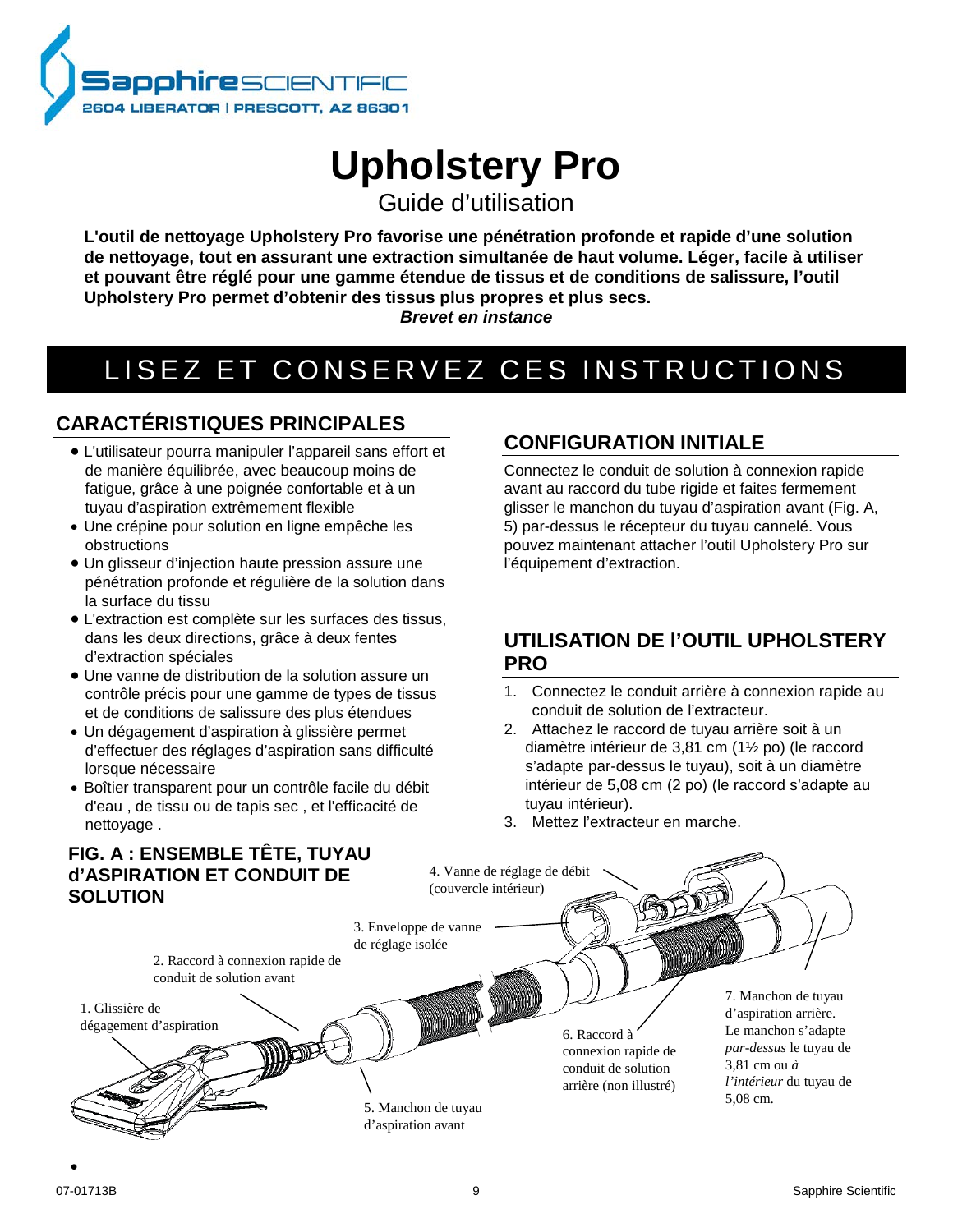

# **Upholstery Pro**

Guide d'utilisation

**L'outil de nettoyage Upholstery Pro favorise une pénétration profonde et rapide d'une solution de nettoyage, tout en assurant une extraction simultanée de haut volume. Léger, facile à utiliser et pouvant être réglé pour une gamme étendue de tissus et de conditions de salissure, l'outil Upholstery Pro permet d'obtenir des tissus plus propres et plus secs.**

*Brevet en instance*

## LISEZ ET CONSERVEZ CES INSTRUCTIONS

## **CARACTÉRISTIQUES PRINCIPALES**

- L'utilisateur pourra manipuler l'appareil sans effort et de manière équilibrée, avec beaucoup moins de fatigue, grâce à une poignée confortable et à un tuyau d'aspiration extrêmement flexible
- Une crépine pour solution en ligne empêche les obstructions
- Un glisseur d'injection haute pression assure une pénétration profonde et régulière de la solution dans la surface du tissu
- L'extraction est complète sur les surfaces des tissus, dans les deux directions, grâce à deux fentes d'extraction spéciales
- Une vanne de distribution de la solution assure un contrôle précis pour une gamme de types de tissus et de conditions de salissure des plus étendues
- Un dégagement d'aspiration à glissière permet d'effectuer des réglages d'aspiration sans difficulté lorsque nécessaire
- Boîtier transparent pour un contrôle facile du débit d'eau , de tissu ou de tapis sec , et l'efficacité de nettoyage .

## **CONFIGURATION INITIALE**

Connectez le conduit de solution à connexion rapide avant au raccord du tube rigide et faites fermement glisser le manchon du tuyau d'aspiration avant (Fig. A, 5) par-dessus le récepteur du tuyau cannelé. Vous pouvez maintenant attacher l'outil Upholstery Pro sur l'équipement d'extraction.

## **UTILISATION DE l'OUTIL UPHOLSTERY PRO**

- 1. Connectez le conduit arrière à connexion rapide au conduit de solution de l'extracteur.
- 2. Attachez le raccord de tuyau arrière soit à un diamètre intérieur de 3,81 cm (1½ po) (le raccord s'adapte par-dessus le tuyau), soit à un diamètre intérieur de 5,08 cm (2 po) (le raccord s'adapte au tuyau intérieur).
- 3. Mettez l'extracteur en marche.

## **FIG. A : ENSEMBLE TÊTE, TUYAU d'ASPIRATION ET CONDUIT DE SOLUTION**

(couvercle intérieur) 3. Enveloppe de vanne de réglage isolée 2. Raccord à connexion rapide de conduit de solution avant 7. Manchon de tuyau 1. Glissière de **MARITIA** d'aspiration arrière. dégagement d'aspirationLe manchon s'adapte 6. Raccord à *par-dessus* le tuyau de connexion rapide de 3,81 cm ou *à* conduit de solution *l'intérieur* du tuyau de arrière (non illustré) 5,08 cm. 5. Manchon de tuyau d'aspiration avant •

4. Vanne de réglage de débit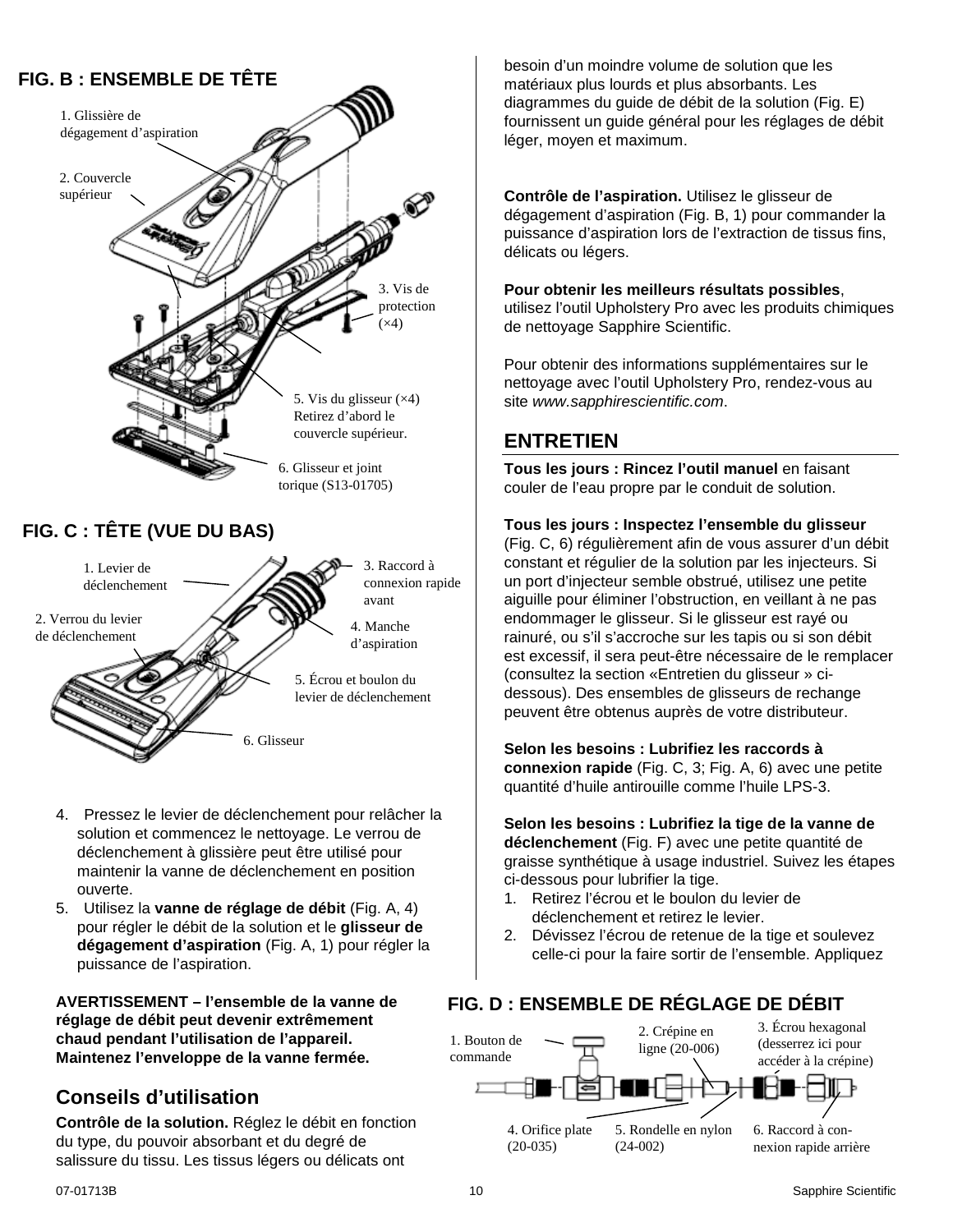## **FIG. B : ENSEMBLE DE TÊTE**



- 4. Pressez le levier de déclenchement pour relâcher la solution et commencez le nettoyage. Le verrou de déclenchement à glissière peut être utilisé pour maintenir la vanne de déclenchement en position ouverte.
- 5. Utilisez la **vanne de réglage de débit** (Fig. A, 4) pour régler le débit de la solution et le **glisseur de dégagement d'aspiration** (Fig. A, 1) pour régler la puissance de l'aspiration.

**AVERTISSEMENT – l'ensemble de la vanne de réglage de débit peut devenir extrêmement chaud pendant l'utilisation de l'appareil. Maintenez l'enveloppe de la vanne fermée.**

## **Conseils d'utilisation**

**Contrôle de la solution.** Réglez le débit en fonction du type, du pouvoir absorbant et du degré de salissure du tissu. Les tissus légers ou délicats ont

besoin d'un moindre volume de solution que les matériaux plus lourds et plus absorbants. Les diagrammes du guide de débit de la solution (Fig. E) fournissent un guide général pour les réglages de débit léger, moyen et maximum.

**Contrôle de l'aspiration.** Utilisez le glisseur de dégagement d'aspiration (Fig. B, 1) pour commander la puissance d'aspiration lors de l'extraction de tissus fins, délicats ou légers.

#### **Pour obtenir les meilleurs résultats possibles**,

utilisez l'outil Upholstery Pro avec les produits chimiques de nettoyage Sapphire Scientific.

Pour obtenir des informations supplémentaires sur le nettoyage avec l'outil Upholstery Pro, rendez-vous au site *www.sapphirescientific.com*.

### **ENTRETIEN**

**Tous les jours : Rincez l'outil manuel** en faisant couler de l'eau propre par le conduit de solution.

#### <span id="page-9-0"></span>**Tous les jours : Inspectez l'ensemble du glisseur**

(Fig. C, 6) régulièrement afin de vous assurer d'un débit constant et régulier de la solution par les injecteurs. Si un port d'injecteur semble obstrué, utilisez une petite aiguille pour éliminer l'obstruction, en veillant à ne pas endommager le glisseur. Si le glisseur est rayé ou rainuré, ou s'il s'accroche sur les tapis ou si son débit est excessif, il sera peut-être nécessaire de le remplacer (consultez la section «Entretien du glisseur » cidessous). Des ensembles de glisseurs de rechange peuvent être obtenus auprès de votre distributeur.

**Selon les besoins : Lubrifiez les raccords à connexion rapide** (Fig. C, 3; Fig. A, 6) avec une petite quantité d'huile antirouille comme l'huile LPS-3.

**Selon les besoins : Lubrifiez la tige de la vanne de déclenchement** (Fig. F) avec une petite quantité de graisse synthétique à usage industriel. Suivez les étapes ci-dessous pour lubrifier la tige.

- 1. Retirez l'écrou et le boulon du levier de déclenchement et retirez le levier.
- 2. Dévissez l'écrou de retenue de la tige et soulevez celle-ci pour la faire sortir de l'ensemble. Appliquez

### **FIG. D : ENSEMBLE DE RÉGLAGE DE DÉBIT**

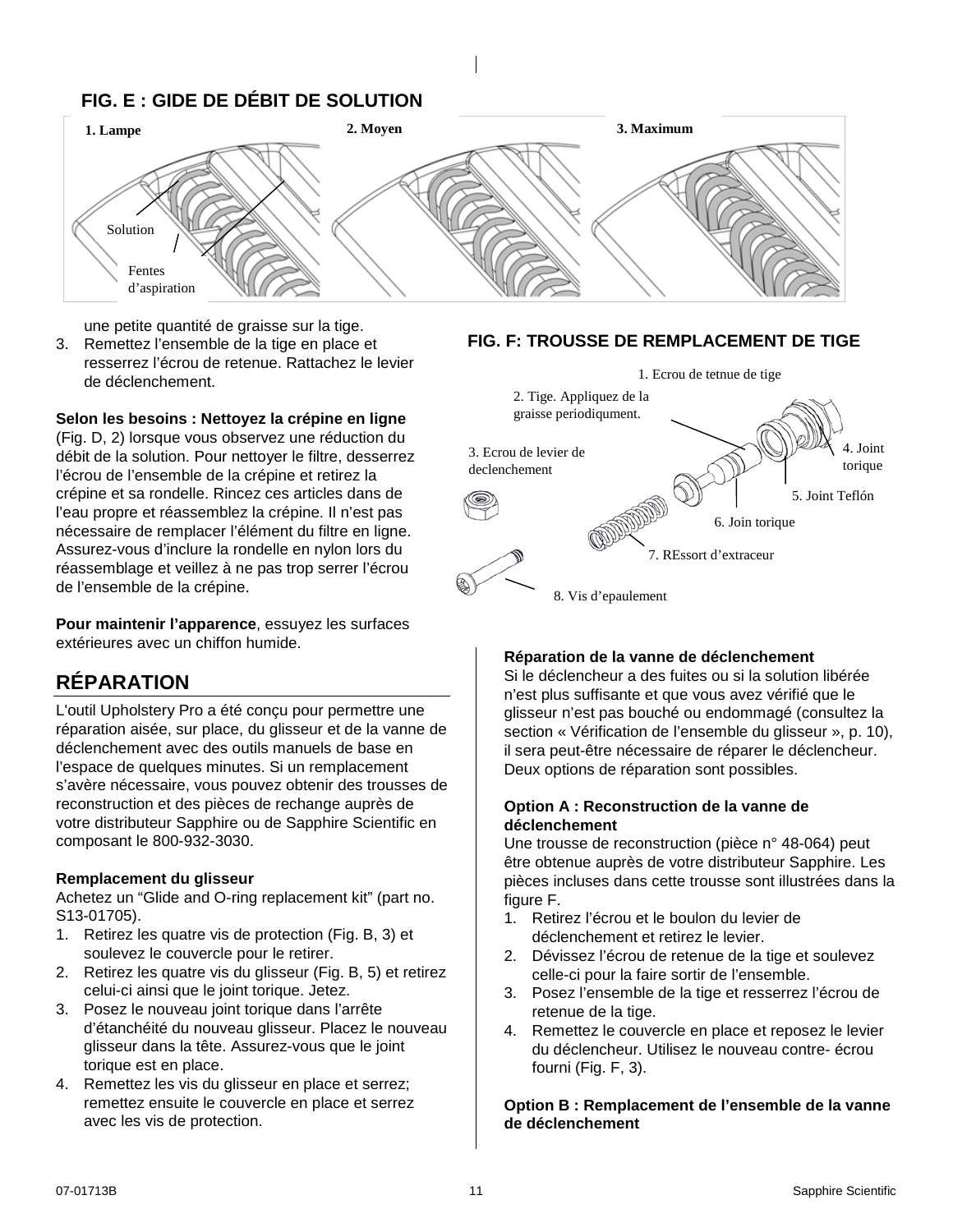## **FIG. E : GIDE DE DÉBIT DE SOLUTION**



une petite quantité de graisse sur la tige.

3. Remettez l'ensemble de la tige en place et resserrez l'écrou de retenue. Rattachez le levier de déclenchement.

#### **Selon les besoins : Nettoyez la crépine en ligne**

(Fig. D, 2) lorsque vous observez une réduction du débit de la solution. Pour nettoyer le filtre, desserrez l'écrou de l'ensemble de la crépine et retirez la crépine et sa rondelle. Rincez ces articles dans de l'eau propre et réassemblez la crépine. Il n'est pas nécessaire de remplacer l'élément du filtre en ligne. Assurez-vous d'inclure la rondelle en nylon lors du réassemblage et veillez à ne pas trop serrer l'écrou de l'ensemble de la crépine.

**Pour maintenir l'apparence**, essuyez les surfaces extérieures avec un chiffon humide.

## **RÉPARATION**

L'outil Upholstery Pro a été conçu pour permettre une réparation aisée, sur place, du glisseur et de la vanne de déclenchement avec des outils manuels de base en l'espace de quelques minutes. Si un remplacement s'avère nécessaire, vous pouvez obtenir des trousses de reconstruction et des pièces de rechange auprès de votre distributeur Sapphire ou de Sapphire Scientific en composant le 800-932-3030.

#### **Remplacement du glisseur**

Achetez un "Glide and O-ring replacement kit" (part no. S13-01705).

- 1. Retirez les quatre vis de protection (Fig. B, 3) et soulevez le couvercle pour le retirer.
- 2. Retirez les quatre vis du glisseur (Fig. B, 5) et retirez celui-ci ainsi que le joint torique. Jetez.
- 3. Posez le nouveau joint torique dans l'arrête d'étanchéité du nouveau glisseur. Placez le nouveau glisseur dans la tête. Assurez-vous que le joint torique est en place.
- 4. Remettez les vis du glisseur en place et serrez; remettez ensuite le couvercle en place et serrez avec les vis de protection.





#### **Réparation de la vanne de déclenchement**

Si le déclencheur a des fuites ou si la solution libérée n'est plus suffisante et que vous avez vérifié que le glisseur n'est pas bouché ou endommagé (consultez la section « Vérification de l'ensemble du glisseur », p. [10\)](#page-9-0), il sera peut-être nécessaire de réparer le déclencheur. Deux options de réparation sont possibles.

#### **Option A : Reconstruction de la vanne de déclenchement**

Une trousse de reconstruction (pièce n° 48-064) peut être obtenue auprès de votre distributeur Sapphire. Les pièces incluses dans cette trousse sont illustrées dans la figure F.

- 1. Retirez l'écrou et le boulon du levier de déclenchement et retirez le levier.
- 2. Dévissez l'écrou de retenue de la tige et soulevez celle-ci pour la faire sortir de l'ensemble.
- 3. Posez l'ensemble de la tige et resserrez l'écrou de retenue de la tige.
- 4. Remettez le couvercle en place et reposez le levier du déclencheur. Utilisez le nouveau contre- écrou fourni (Fig. F, 3).

#### **Option B : Remplacement de l'ensemble de la vanne de déclenchement**